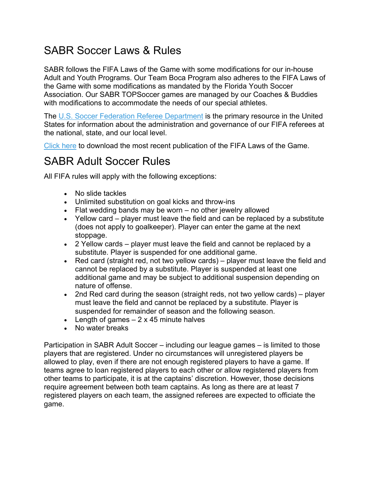# SABR Soccer Laws & Rules

SABR follows the FIFA Laws of the Game with some modifications for our in-house Adult and Youth Programs. Our Team Boca Program also adheres to the FIFA Laws of the Game with some modifications as mandated by the Florida Youth Soccer Association. Our SABR TOPSoccer games are managed by our Coaches & Buddies with modifications to accommodate the needs of our special athletes.

The U.S. Soccer Federation Referee Department is the primary resource in the United States for information about the administration and governance of our FIFA referees at the national, state, and our local level.

Click here to download the most recent publication of the FIFA Laws of the Game.

### SABR Adult Soccer Rules

All FIFA rules will apply with the following exceptions:

- No slide tackles
- Unlimited substitution on goal kicks and throw-ins
- Flat wedding bands may be worn no other jewelry allowed
- Yellow card player must leave the field and can be replaced by a substitute (does not apply to goalkeeper). Player can enter the game at the next stoppage.
- 2 Yellow cards player must leave the field and cannot be replaced by a substitute. Player is suspended for one additional game.
- Red card (straight red, not two yellow cards) player must leave the field and cannot be replaced by a substitute. Player is suspended at least one additional game and may be subject to additional suspension depending on nature of offense.
- 2nd Red card during the season (straight reds, not two yellow cards) player must leave the field and cannot be replaced by a substitute. Player is suspended for remainder of season and the following season.
- Elength of games  $-2 \times 45$  minute halves
- No water breaks

Participation in SABR Adult Soccer – including our league games – is limited to those players that are registered. Under no circumstances will unregistered players be allowed to play, even if there are not enough registered players to have a game. If teams agree to loan registered players to each other or allow registered players from other teams to participate, it is at the captains' discretion. However, those decisions require agreement between both team captains. As long as there are at least 7 registered players on each team, the assigned referees are expected to officiate the game.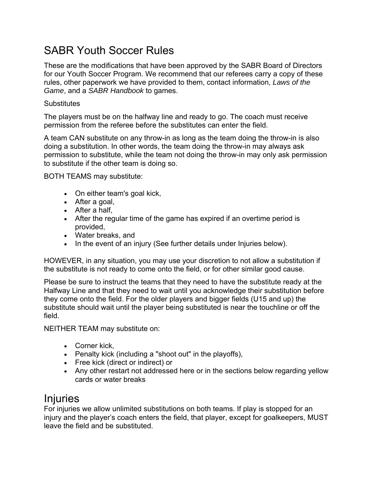## SABR Youth Soccer Rules

These are the modifications that have been approved by the SABR Board of Directors for our Youth Soccer Program. We recommend that our referees carry a copy of these rules, other paperwork we have provided to them, contact information, *Laws of the Game*, and a *SABR Handbook* to games.

#### **Substitutes**

The players must be on the halfway line and ready to go. The coach must receive permission from the referee before the substitutes can enter the field.

A team CAN substitute on any throw-in as long as the team doing the throw-in is also doing a substitution. In other words, the team doing the throw-in may always ask permission to substitute, while the team not doing the throw-in may only ask permission to substitute if the other team is doing so.

BOTH TEAMS may substitute:

- On either team's goal kick,
- After a goal,
- After a half,
- After the regular time of the game has expired if an overtime period is provided,
- Water breaks, and
- In the event of an injury (See further details under Injuries below).

HOWEVER, in any situation, you may use your discretion to not allow a substitution if the substitute is not ready to come onto the field, or for other similar good cause.

Please be sure to instruct the teams that they need to have the substitute ready at the Halfway Line and that they need to wait until you acknowledge their substitution before they come onto the field. For the older players and bigger fields (U15 and up) the substitute should wait until the player being substituted is near the touchline or off the field.

NEITHER TEAM may substitute on:

- Corner kick,
- Penalty kick (including a "shoot out" in the playoffs),
- Free kick (direct or indirect) or
- Any other restart not addressed here or in the sections below regarding yellow cards or water breaks

## Injuries

For injuries we allow unlimited substitutions on both teams. If play is stopped for an injury and the player's coach enters the field, that player, except for goalkeepers, MUST leave the field and be substituted.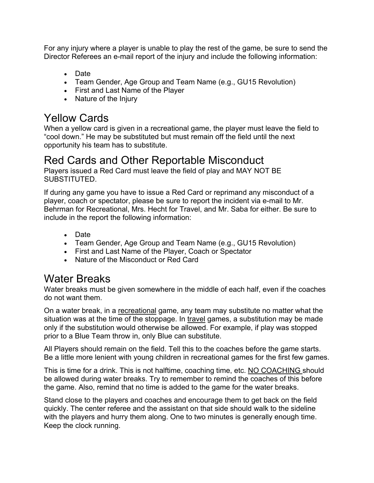For any injury where a player is unable to play the rest of the game, be sure to send the Director Referees an e-mail report of the injury and include the following information:

- Date
- Team Gender, Age Group and Team Name (e.g., GU15 Revolution)
- First and Last Name of the Player
- Nature of the Injury

## Yellow Cards

When a yellow card is given in a recreational game, the player must leave the field to "cool down." He may be substituted but must remain off the field until the next opportunity his team has to substitute.

### Red Cards and Other Reportable Misconduct

Players issued a Red Card must leave the field of play and MAY NOT BE SUBSTITUTED.

If during any game you have to issue a Red Card or reprimand any misconduct of a player, coach or spectator, please be sure to report the incident via e-mail to Mr. Behrman for Recreational, Mrs. Hecht for Travel, and Mr. Saba for either. Be sure to include in the report the following information:

- Date
- Team Gender, Age Group and Team Name (e.g., GU15 Revolution)
- First and Last Name of the Player, Coach or Spectator
- Nature of the Misconduct or Red Card

# Water Breaks

Water breaks must be given somewhere in the middle of each half, even if the coaches do not want them.

On a water break, in a recreational game, any team may substitute no matter what the situation was at the time of the stoppage. In travel games, a substitution may be made only if the substitution would otherwise be allowed. For example, if play was stopped prior to a Blue Team throw in, only Blue can substitute.

All Players should remain on the field. Tell this to the coaches before the game starts. Be a little more lenient with young children in recreational games for the first few games.

This is time for a drink. This is not halftime, coaching time, etc. NO COACHING should be allowed during water breaks. Try to remember to remind the coaches of this before the game. Also, remind that no time is added to the game for the water breaks.

Stand close to the players and coaches and encourage them to get back on the field quickly. The center referee and the assistant on that side should walk to the sideline with the players and hurry them along. One to two minutes is generally enough time. Keep the clock running.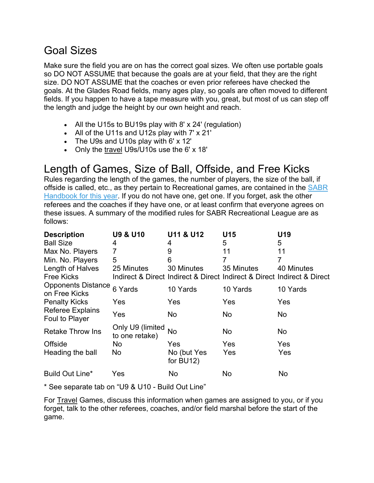## Goal Sizes

Make sure the field you are on has the correct goal sizes. We often use portable goals so DO NOT ASSUME that because the goals are at your field, that they are the right size. DO NOT ASSUME that the coaches or even prior referees have checked the goals. At the Glades Road fields, many ages play, so goals are often moved to different fields. If you happen to have a tape measure with you, great, but most of us can step off the length and judge the height by our own height and reach.

- All the U15s to BU19s play with 8' x 24' (regulation)
- All of the U11s and U12s play with 7' x 21'
- The U9s and U10s play with 6' x 12'
- Only the travel U9s/U10s use the 6' x 18'

# Length of Games, Size of Ball, Offside, and Free Kicks

Rules regarding the length of the games, the number of players, the size of the ball, if offside is called, etc., as they pertain to Recreational games, are contained in the SABR Handbook for this year. If you do not have one, get one. If you forget, ask the other referees and the coaches if they have one, or at least confirm that everyone agrees on these issues. A summary of the modified rules for SABR Recreational League are as follows:

| <b>Description</b>                         | <b>U9 &amp; U10</b>                | U11 & U12                  | U15        | U19                                                                     |
|--------------------------------------------|------------------------------------|----------------------------|------------|-------------------------------------------------------------------------|
| <b>Ball Size</b>                           | 4                                  | 4                          | 5          | 5                                                                       |
| Max No. Players                            | 7                                  | 9                          | 11         | 11                                                                      |
| Min. No. Players                           | 5                                  | 6                          | 7          | 7                                                                       |
| Length of Halves                           | 25 Minutes                         | 30 Minutes                 | 35 Minutes | 40 Minutes                                                              |
| <b>Free Kicks</b>                          |                                    |                            |            | Indirect & Direct Indirect & Direct Indirect & Direct Indirect & Direct |
| <b>Opponents Distance</b><br>on Free Kicks | 6 Yards                            | 10 Yards                   | 10 Yards   | 10 Yards                                                                |
| <b>Penalty Kicks</b>                       | Yes                                | Yes                        | Yes        | Yes                                                                     |
| <b>Referee Explains</b><br>Foul to Player  | Yes                                | <b>No</b>                  | No         | No                                                                      |
| <b>Retake Throw Ins</b>                    | Only U9 (limited<br>to one retake) | No                         | No.        | No.                                                                     |
| Offside                                    | No                                 | Yes                        | Yes        | <b>Yes</b>                                                              |
| Heading the ball                           | <b>No</b>                          | No (but Yes<br>for $BU12)$ | Yes        | Yes                                                                     |
| Build Out Line*                            | Yes                                | No                         | No         | No                                                                      |

\* See separate tab on "U9 & U10 - Build Out Line"

For Travel Games, discuss this information when games are assigned to you, or if you forget, talk to the other referees, coaches, and/or field marshal before the start of the game.